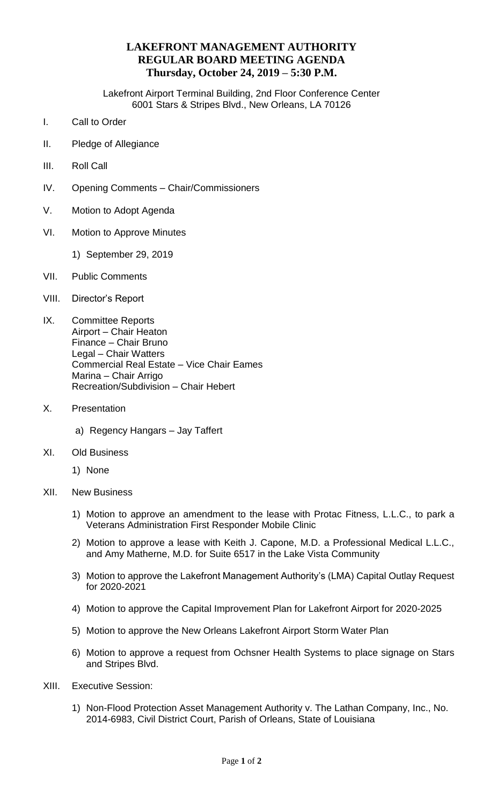## **LAKEFRONT MANAGEMENT AUTHORITY REGULAR BOARD MEETING AGENDA Thursday, October 24, 2019 – 5:30 P.M.**

Lakefront Airport Terminal Building, 2nd Floor Conference Center 6001 Stars & Stripes Blvd., New Orleans, LA 70126

- I. Call to Order
- II. Pledge of Allegiance
- III. Roll Call
- IV. Opening Comments Chair/Commissioners
- V. Motion to Adopt Agenda
- VI. Motion to Approve Minutes
	- 1) September 29, 2019
- VII. Public Comments
- VIII. Director's Report
- IX. Committee Reports Airport – Chair Heaton Finance – Chair Bruno Legal – Chair Watters Commercial Real Estate – Vice Chair Eames Marina – Chair Arrigo Recreation/Subdivision – Chair Hebert
- X. Presentation
	- a) Regency Hangars Jay Taffert
- XI. Old Business
	- 1) None
- XII. New Business
	- 1) Motion to approve an amendment to the lease with Protac Fitness, L.L.C., to park a Veterans Administration First Responder Mobile Clinic
	- 2) Motion to approve a lease with Keith J. Capone, M.D. a Professional Medical L.L.C., and Amy Matherne, M.D. for Suite 6517 in the Lake Vista Community
	- 3) Motion to approve the Lakefront Management Authority's (LMA) Capital Outlay Request for 2020-2021
	- 4) Motion to approve the Capital Improvement Plan for Lakefront Airport for 2020-2025
	- 5) Motion to approve the New Orleans Lakefront Airport Storm Water Plan
	- 6) Motion to approve a request from Ochsner Health Systems to place signage on Stars and Stripes Blvd.
- XIII. Executive Session:
	- 1) Non-Flood Protection Asset Management Authority v. The Lathan Company, Inc., No. 2014-6983, Civil District Court, Parish of Orleans, State of Louisiana